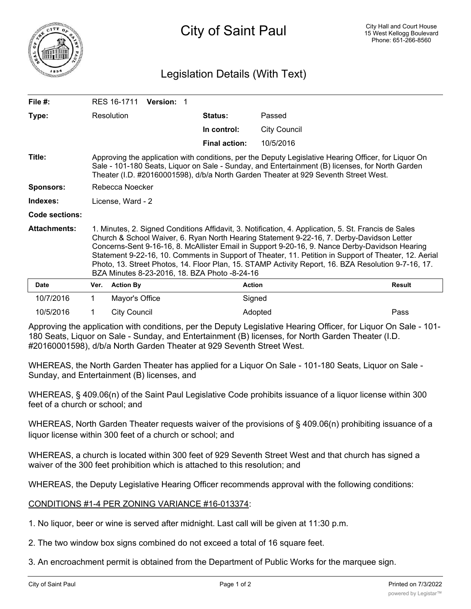

## Legislation Details (With Text)

| File $#$ :            | <b>Version: 1</b><br>RES 16-1711                                                                                                                                                                                                                                                                                                                                                                                                                                                                                                                                     |                     |                      |                     |               |
|-----------------------|----------------------------------------------------------------------------------------------------------------------------------------------------------------------------------------------------------------------------------------------------------------------------------------------------------------------------------------------------------------------------------------------------------------------------------------------------------------------------------------------------------------------------------------------------------------------|---------------------|----------------------|---------------------|---------------|
| Type:                 |                                                                                                                                                                                                                                                                                                                                                                                                                                                                                                                                                                      | Resolution          | Status:              | Passed              |               |
|                       |                                                                                                                                                                                                                                                                                                                                                                                                                                                                                                                                                                      |                     | In control:          | <b>City Council</b> |               |
|                       |                                                                                                                                                                                                                                                                                                                                                                                                                                                                                                                                                                      |                     | <b>Final action:</b> | 10/5/2016           |               |
| Title:                | Approving the application with conditions, per the Deputy Legislative Hearing Officer, for Liquor On<br>Sale - 101-180 Seats, Liquor on Sale - Sunday, and Entertainment (B) licenses, for North Garden<br>Theater (I.D. #20160001598), d/b/a North Garden Theater at 929 Seventh Street West.                                                                                                                                                                                                                                                                       |                     |                      |                     |               |
| <b>Sponsors:</b>      | Rebecca Noecker                                                                                                                                                                                                                                                                                                                                                                                                                                                                                                                                                      |                     |                      |                     |               |
| Indexes:              | License, Ward - 2                                                                                                                                                                                                                                                                                                                                                                                                                                                                                                                                                    |                     |                      |                     |               |
| <b>Code sections:</b> |                                                                                                                                                                                                                                                                                                                                                                                                                                                                                                                                                                      |                     |                      |                     |               |
| <b>Attachments:</b>   | 1. Minutes, 2. Signed Conditions Affidavit, 3. Notification, 4. Application, 5. St. Francis de Sales<br>Church & School Waiver, 6. Ryan North Hearing Statement 9-22-16, 7. Derby-Davidson Letter<br>Concerns-Sent 9-16-16, 8. McAllister Email in Support 9-20-16, 9. Nance Derby-Davidson Hearing<br>Statement 9-22-16, 10. Comments in Support of Theater, 11. Petition in Support of Theater, 12. Aerial<br>Photo, 13. Street Photos, 14. Floor Plan, 15. STAMP Activity Report, 16. BZA Resolution 9-7-16, 17.<br>BZA Minutes 8-23-2016, 18. BZA Photo -8-24-16 |                     |                      |                     |               |
| <b>Date</b>           | Ver.                                                                                                                                                                                                                                                                                                                                                                                                                                                                                                                                                                 | <b>Action By</b>    | <b>Action</b>        |                     | <b>Result</b> |
| 10/7/2016             | 1.                                                                                                                                                                                                                                                                                                                                                                                                                                                                                                                                                                   | Mayor's Office      | Signed               |                     |               |
| 10/5/2016             |                                                                                                                                                                                                                                                                                                                                                                                                                                                                                                                                                                      | <b>City Council</b> |                      | Adopted             | Pass          |

Approving the application with conditions, per the Deputy Legislative Hearing Officer, for Liquor On Sale - 101- 180 Seats, Liquor on Sale - Sunday, and Entertainment (B) licenses, for North Garden Theater (I.D. #20160001598), d/b/a North Garden Theater at 929 Seventh Street West.

WHEREAS, the North Garden Theater has applied for a Liquor On Sale - 101-180 Seats, Liquor on Sale - Sunday, and Entertainment (B) licenses, and

WHEREAS, § 409.06(n) of the Saint Paul Legislative Code prohibits issuance of a liquor license within 300 feet of a church or school; and

WHEREAS, North Garden Theater requests waiver of the provisions of § 409.06(n) prohibiting issuance of a liquor license within 300 feet of a church or school; and

WHEREAS, a church is located within 300 feet of 929 Seventh Street West and that church has signed a waiver of the 300 feet prohibition which is attached to this resolution; and

WHEREAS, the Deputy Legislative Hearing Officer recommends approval with the following conditions:

CONDITIONS #1-4 PER ZONING VARIANCE #16-013374:

1. No liquor, beer or wine is served after midnight. Last call will be given at 11:30 p.m.

2. The two window box signs combined do not exceed a total of 16 square feet.

3. An encroachment permit is obtained from the Department of Public Works for the marquee sign.